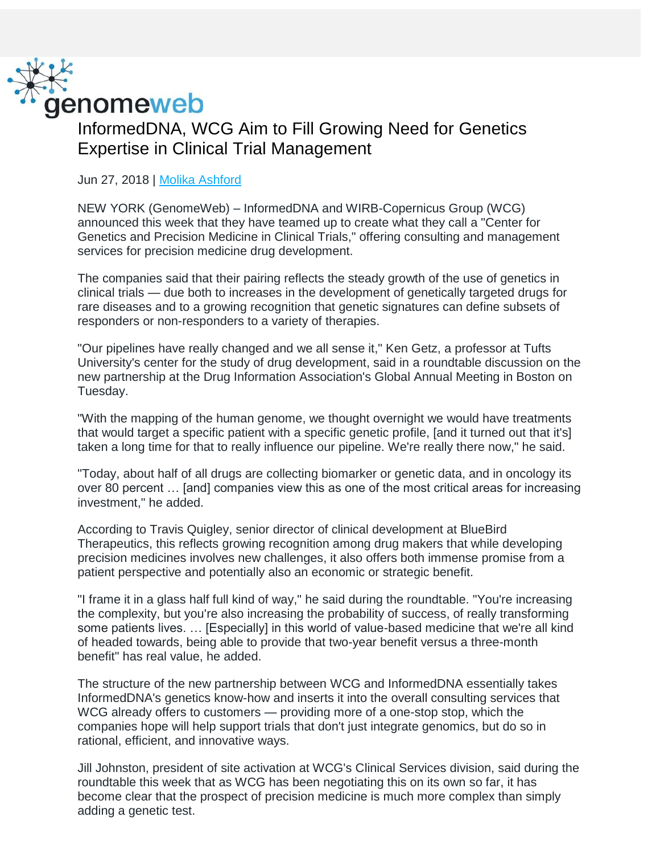

InformedDNA, WCG Aim to Fill Growing Need for Genetics Expertise in Clinical Trial Management

Jun 27, 2018 | [Molika Ashford](https://www.genomeweb.com/about-us/our-staff/molika-ashford)

NEW YORK (GenomeWeb) – InformedDNA and WIRB-Copernicus Group (WCG) announced this week that they have teamed up to create what they call a "Center for Genetics and Precision Medicine in Clinical Trials," offering consulting and management services for precision medicine drug development.

The companies said that their pairing reflects the steady growth of the use of genetics in clinical trials — due both to increases in the development of genetically targeted drugs for rare diseases and to a growing recognition that genetic signatures can define subsets of responders or non-responders to a variety of therapies.

"Our pipelines have really changed and we all sense it," Ken Getz, a professor at Tufts University's center for the study of drug development, said in a roundtable discussion on the new partnership at the Drug Information Association's Global Annual Meeting in Boston on Tuesday.

"With the mapping of the human genome, we thought overnight we would have treatments that would target a specific patient with a specific genetic profile, [and it turned out that it's] taken a long time for that to really influence our pipeline. We're really there now," he said.

"Today, about half of all drugs are collecting biomarker or genetic data, and in oncology its over 80 percent … [and] companies view this as one of the most critical areas for increasing investment," he added.

According to Travis Quigley, senior director of clinical development at BlueBird Therapeutics, this reflects growing recognition among drug makers that while developing precision medicines involves new challenges, it also offers both immense promise from a patient perspective and potentially also an economic or strategic benefit.

"I frame it in a glass half full kind of way," he said during the roundtable. "You're increasing the complexity, but you're also increasing the probability of success, of really transforming some patients lives. … [Especially] in this world of value-based medicine that we're all kind of headed towards, being able to provide that two-year benefit versus a three-month benefit" has real value, he added.

The structure of the new partnership between WCG and InformedDNA essentially takes InformedDNA's genetics know-how and inserts it into the overall consulting services that WCG already offers to customers — providing more of a one-stop stop, which the companies hope will help support trials that don't just integrate genomics, but do so in rational, efficient, and innovative ways.

Jill Johnston, president of site activation at WCG's Clinical Services division, said during the roundtable this week that as WCG has been negotiating this on its own so far, it has become clear that the prospect of precision medicine is much more complex than simply adding a genetic test.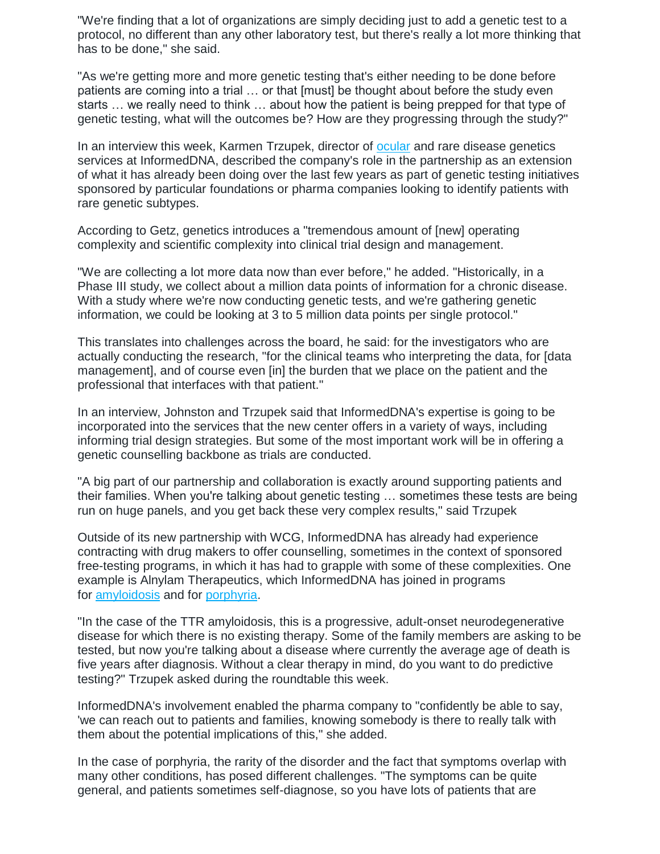"We're finding that a lot of organizations are simply deciding just to add a genetic test to a protocol, no different than any other laboratory test, but there's really a lot more thinking that has to be done," she said.

"As we're getting more and more genetic testing that's either needing to be done before patients are coming into a trial … or that [must] be thought about before the study even starts … we really need to think … about how the patient is being prepped for that type of genetic testing, what will the outcomes be? How are they progressing through the study?"

In an interview this week, Karmen Trzupek, director of **[ocular](https://www.genomeweb.com/molecular-diagnostics/inherited-retinal-disease-patients-therapy-developers-may-benefit-new-genetic)** and rare disease genetics services at InformedDNA, described the company's role in the partnership as an extension of what it has already been doing over the last few years as part of genetic testing initiatives sponsored by particular foundations or pharma companies looking to identify patients with rare genetic subtypes.

According to Getz, genetics introduces a "tremendous amount of [new] operating complexity and scientific complexity into clinical trial design and management.

"We are collecting a lot more data now than ever before," he added. "Historically, in a Phase III study, we collect about a million data points of information for a chronic disease. With a study where we're now conducting genetic tests, and we're gathering genetic information, we could be looking at 3 to 5 million data points per single protocol."

This translates into challenges across the board, he said: for the investigators who are actually conducting the research, "for the clinical teams who interpreting the data, for [data management], and of course even [in] the burden that we place on the patient and the professional that interfaces with that patient."

In an interview, Johnston and Trzupek said that InformedDNA's expertise is going to be incorporated into the services that the new center offers in a variety of ways, including informing trial design strategies. But some of the most important work will be in offering a genetic counselling backbone as trials are conducted.

"A big part of our partnership and collaboration is exactly around supporting patients and their families. When you're talking about genetic testing … sometimes these tests are being run on huge panels, and you get back these very complex results," said Trzupek

Outside of its new partnership with WCG, InformedDNA has already had experience contracting with drug makers to offer counselling, sometimes in the context of sponsored free-testing programs, in which it has had to grapple with some of these complexities. One example is Alnylam Therapeutics, which InformedDNA has joined in programs for [amyloidosis](https://www.genomeweb.com/neurological-psychological-disorders/invitae-alnylam-provide-free-genetic-testing-rare-amyloidosis) and for [porphyria.](https://www.genomeweb.com/molecular-diagnostics/alnylam-expands-genetic-testing-program)

"In the case of the TTR amyloidosis, this is a progressive, adult-onset neurodegenerative disease for which there is no existing therapy. Some of the family members are asking to be tested, but now you're talking about a disease where currently the average age of death is five years after diagnosis. Without a clear therapy in mind, do you want to do predictive testing?" Trzupek asked during the roundtable this week.

InformedDNA's involvement enabled the pharma company to "confidently be able to say, 'we can reach out to patients and families, knowing somebody is there to really talk with them about the potential implications of this," she added.

In the case of porphyria, the rarity of the disorder and the fact that symptoms overlap with many other conditions, has posed different challenges. "The symptoms can be quite general, and patients sometimes self-diagnose, so you have lots of patients that are